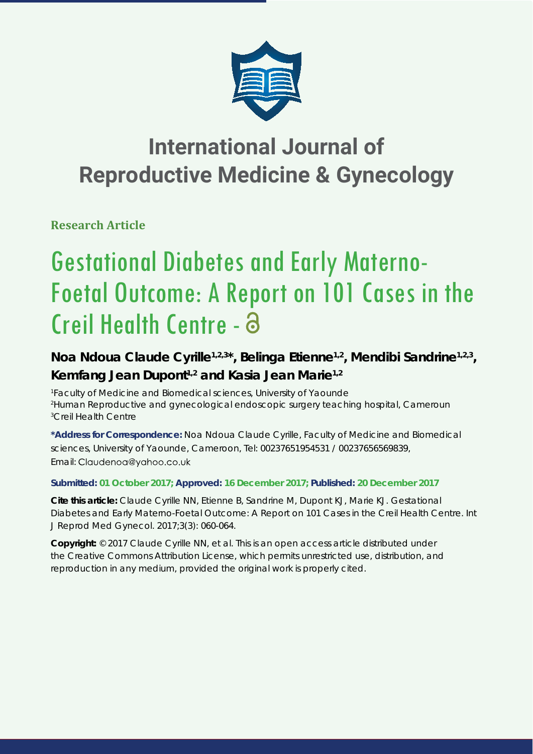

# **International Journal of Reproductive Medicine & Gynecology**

**Research Article**

# Gestational Diabetes and Early Materno-Foetal Outcome: A Report on 101 Cases in the Creil Health Centre -

# Noa Ndoua Claude Cyrille<sup>1,2,3\*</sup>, Belinga Etienne<sup>1,2</sup>, Mendibi Sandrine<sup>1,2,3</sup>, **Kemfang Jean Dupont1,2 and Kasia Jean Marie1,2**

*1 Faculty of Medicine and Biomedical sciences, University of Yaounde 2 Human Reproductive and gynecological endoscopic surgery teaching hospital, Cameroun 3 Creil Health Centre* 

**\*Address for Correspondence:** Noa Ndoua Claude Cyrille, Faculty of Medicine and Biomedical sciences, University of Yaounde, Cameroon, Tel: 00237651954531 / 00237656569839, Email: Claudenoa@yahoo.co.uk

# **Submitted: 01 October 2017; Approved: 16 December 2017; Published: 20 December 2017**

**Cite this article:** Claude Cyrille NN, Etienne B, Sandrine M, Dupont KJ, Marie KJ. Gestational Diabetes and Early Materno-Foetal Outcome: A Report on 101 Cases in the Creil Health Centre. Int J Reprod Med Gynecol. 2017;3(3): 060-064.

**Copyright:** © 2017 Claude Cyrille NN, et al. This is an open access article distributed under the Creative Commons Attribution License, which permits unrestricted use, distribution, and reproduction in any medium, provided the original work is properly cited.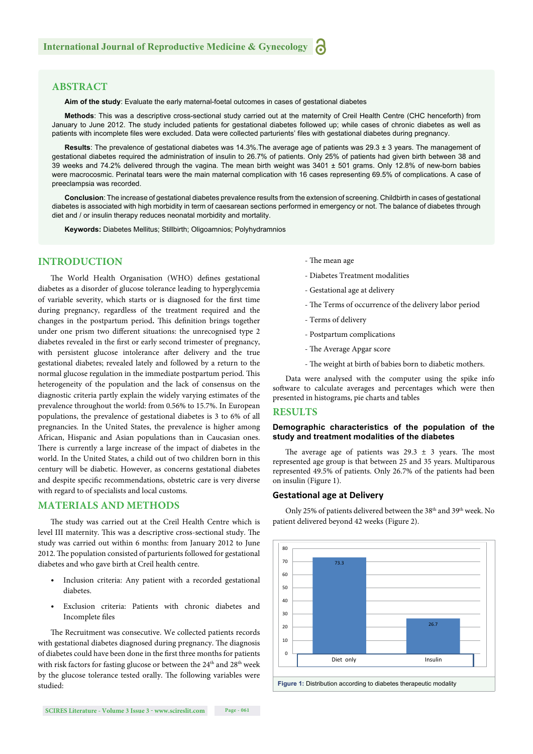# **ABSTRACT**

**Aim of the study**: Evaluate the early maternal-foetal outcomes in cases of gestational diabetes

**Methods**: This was a descriptive cross-sectional study carried out at the maternity of Creil Health Centre (CHC henceforth) from January to June 2012. The study included patients for gestational diabetes followed up; while cases of chronic diabetes as well as patients with incomplete files were excluded. Data were collected parturients' files with gestational diabetes during pregnancy.

**Results**: The prevalence of gestational diabetes was 14.3%.The average age of patients was 29.3 ± 3 years. The management of gestational diabetes required the administration of insulin to 26.7% of patients. Only 25% of patients had given birth between 38 and 39 weeks and 74.2% delivered through the vagina. The mean birth weight was 3401 ± 501 grams. Only 12.8% of new-born babies were macrocosmic. Perinatal tears were the main maternal complication with 16 cases representing 69.5% of complications. A case of preeclampsia was recorded.

**Conclusion**: The increase of gestational diabetes prevalence results from the extension of screening. Childbirth in cases of gestational diabetes is associated with high morbidity in term of caesarean sections performed in emergency or not. The balance of diabetes through diet and / or insulin therapy reduces neonatal morbidity and mortality.

**Keywords:** Diabetes Mellitus; Stillbirth; Oligoamnios; Polyhydramnios

# **INTRODUCTION**

The World Health Organisation (WHO) defines gestational diabetes as a disorder of glucose tolerance leading to hyperglycemia of variable severity, which starts or is diagnosed for the first time during pregnancy, regardless of the treatment required and the changes in the postpartum period. This definition brings together under one prism two different situations: the unrecognised type 2 diabetes revealed in the first or early second trimester of pregnancy, with persistent glucose intolerance after delivery and the true gestational diabetes; revealed lately and followed by a return to the normal glucose regulation in the immediate postpartum period. This heterogeneity of the population and the lack of consensus on the diagnostic criteria partly explain the widely varying estimates of the prevalence throughout the world: from 0.56% to 15.7%. In European populations, the prevalence of gestational diabetes is 3 to 6% of all pregnancies. In the United States, the prevalence is higher among African, Hispanic and Asian populations than in Caucasian ones. There is currently a large increase of the impact of diabetes in the world. In the United States, a child out of two children born in this century will be diabetic. However, as concerns gestational diabetes and despite specific recommendations, obstetric care is very diverse with regard to of specialists and local customs.

### **MATERIALS AND METHODS**

The study was carried out at the Creil Health Centre which is level III maternity. This was a descriptive cross-sectional study. The study was carried out within 6 months: from January 2012 to June 2012. The population consisted of parturients followed for gestational diabetes and who gave birth at Creil health centre.

- Inclusion criteria: Any patient with a recorded gestational diabetes.
- Exclusion criteria: Patients with chronic diabetes and Incomplete files

The Recruitment was consecutive. We collected patients records with gestational diabetes diagnosed during pregnancy. The diagnosis of diabetes could have been done in the first three months for patients with risk factors for fasting glucose or between the 24<sup>th</sup> and 28<sup>th</sup> week by the glucose tolerance tested orally. The following variables were studied:

- The mean age
- Diabetes Treatment modalities
- Gestational age at delivery
- The Terms of occurrence of the delivery labor period
- Terms of delivery
- Postpartum complications
- The Average Apgar score
- The weight at birth of babies born to diabetic mothers.

Data were analysed with the computer using the spike info software to calculate averages and percentages which were then presented in histograms, pie charts and tables

#### **RESULTS**

#### **Demographic characteristics of the population of the study and treatment modalities of the diabetes**

The average age of patients was  $29.3 \pm 3$  years. The most represented age group is that between 25 and 35 years. Multiparous represented 49.5% of patients. Only 26.7% of the patients had been on insulin (Figure 1).

#### **GestaƟ onal age at Delivery**

Only 25% of patients delivered between the 38<sup>th</sup> and 39<sup>th</sup> week. No patient delivered beyond 42 weeks (Figure 2).

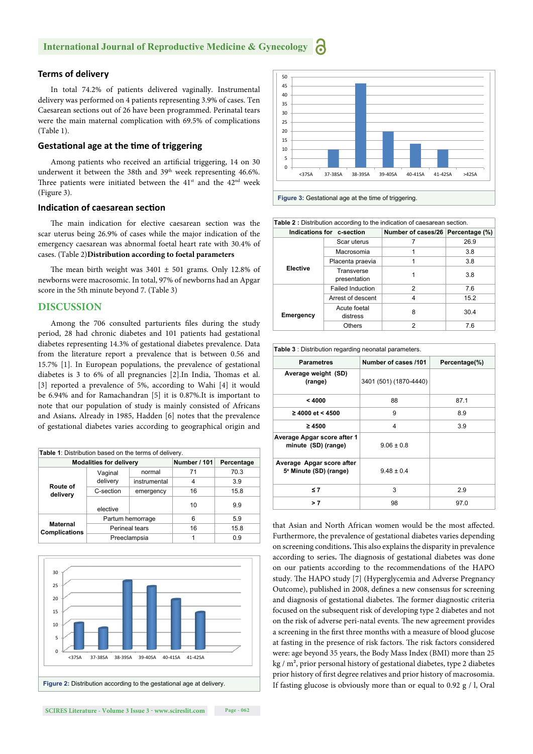# **Terms of delivery**

In total 74.2% of patients delivered vaginally. Instrumental delivery was performed on 4 patients representing 3.9% of cases. Ten Caesarean sections out of 26 have been programmed. Perinatal tears were the main maternal complication with 69.5% of complications (Table 1).

### **GestaƟ onal age at the Ɵ me of triggering**

Among patients who received an artificial triggering, 14 on 30 underwent it between the 38th and 39<sup>th</sup> week representing 46.6%. Three patients were initiated between the  $41<sup>st</sup>$  and the  $42<sup>nd</sup>$  week (Figure 3).

#### **Indication of caesarean section**

The main indication for elective caesarean section was the scar uterus being 26.9% of cases while the major indication of the emergency caesarean was abnormal foetal heart rate with 30.4% of cases. (Table 2)**Distribution according to foetal parameters**

The mean birth weight was  $3401 \pm 501$  grams. Only 12.8% of newborns were macrosomic. In total, 97% of newborns had an Apgar score in the 5th minute beyond 7. (Table 3)

#### **DISCUSSION**

Among the 706 consulted parturients files during the study period, 28 had chronic diabetes and 101 patients had gestational diabetes representing 14.3% of gestational diabetes prevalence. Data from the literature report a prevalence that is between 0.56 and 15.7% [1]. In European populations, the prevalence of gestational diabetes is 3 to 6% of all pregnancies [2]. In India, Thomas et al. [3] reported a prevalence of 5%, according to Wahi [4] it would be 6.94% and for Ramachandran [5] it is 0.87%.It is important to note that our population of study is mainly consisted of Africans and Asians**.** Already in 1985, Hadden [6] notes that the prevalence of gestational diabetes varies according to geographical origin and

| <b>Table 1:</b> Distribution based on the terms of delivery. |                     |              |                     |            |  |  |  |
|--------------------------------------------------------------|---------------------|--------------|---------------------|------------|--|--|--|
| <b>Modalities for delivery</b>                               |                     |              | <b>Number / 101</b> | Percentage |  |  |  |
| Route of<br>delivery                                         | Vaginal<br>delivery | normal       | 71                  | 70.3       |  |  |  |
|                                                              |                     | instrumental | 4                   | 3.9        |  |  |  |
|                                                              | C-section           | emergency    | 16                  | 15.8       |  |  |  |
|                                                              | elective            |              | 10                  | 9.9        |  |  |  |
| <b>Maternal</b><br><b>Complications</b>                      | Partum hemorrage    |              | 6                   | 5.9        |  |  |  |
|                                                              | Perineal tears      |              | 16                  | 15.8       |  |  |  |
|                                                              | Preeclampsia        |              | 1                   | 0.9        |  |  |  |







| <b>Table 2:</b> Distribution according to the indication of caesarean section. |                            |                                   |      |  |  |
|--------------------------------------------------------------------------------|----------------------------|-----------------------------------|------|--|--|
| Indications for c-section                                                      |                            | Number of cases/26 Percentage (%) |      |  |  |
|                                                                                | Scar uterus                |                                   | 26.9 |  |  |
|                                                                                | Macrosomia                 |                                   | 3.8  |  |  |
|                                                                                | Placenta praevia           |                                   | 3.8  |  |  |
| <b>Elective</b>                                                                | Transverse<br>presentation |                                   | 3.8  |  |  |
|                                                                                | <b>Failed Induction</b>    | 2                                 | 7.6  |  |  |
|                                                                                | Arrest of descent          | 4                                 | 15.2 |  |  |
| Emergency                                                                      | Acute foetal<br>distress   | 8                                 | 30.4 |  |  |
|                                                                                | <b>Others</b>              | 2                                 | 7.6  |  |  |

| <b>Table 3:</b> Distribution regarding neonatal parameters.     |                        |               |  |  |  |
|-----------------------------------------------------------------|------------------------|---------------|--|--|--|
| <b>Parametres</b>                                               | Number of cases /101   | Percentage(%) |  |  |  |
| Average weight (SD)<br>(range)                                  | 3401 (501) (1870-4440) |               |  |  |  |
| < 4000                                                          | 88                     | 87.1          |  |  |  |
| $≥$ 4000 et < 4500                                              | 9                      | 8.9           |  |  |  |
| $\geq 4500$                                                     | 4                      | 3.9           |  |  |  |
| Average Apgar score after 1<br>minute (SD) (range)              | $9.06 \pm 0.8$         |               |  |  |  |
| Average Apgar score after<br>5 <sup>e</sup> Minute (SD) (range) | $9.48 \pm 0.4$         |               |  |  |  |
| ≤7                                                              | 3                      | 2.9           |  |  |  |
| >7                                                              | 98                     | 97.0          |  |  |  |

that Asian and North African women would be the most affected. Furthermore, the prevalence of gestational diabetes varies depending on screening conditions. This also explains the disparity in prevalence according to series. The diagnosis of gestational diabetes was done on our patients according to the recommendations of the HAPO study. The HAPO study [7] (Hyperglycemia and Adverse Pregnancy Outcome), published in 2008, defines a new consensus for screening and diagnosis of gestational diabetes. The former diagnostic criteria focused on the subsequent risk of developing type 2 diabetes and not on the risk of adverse peri-natal events. The new agreement provides a screening in the first three months with a measure of blood glucose at fasting in the presence of risk factors. The risk factors considered were: age beyond 35 years, the Body Mass Index (BMI) more than 25 kg / m², prior personal history of gestational diabetes, type 2 diabetes prior history of first degree relatives and prior history of macrosomia. If fasting glucose is obviously more than or equal to 0.92 g / l, Oral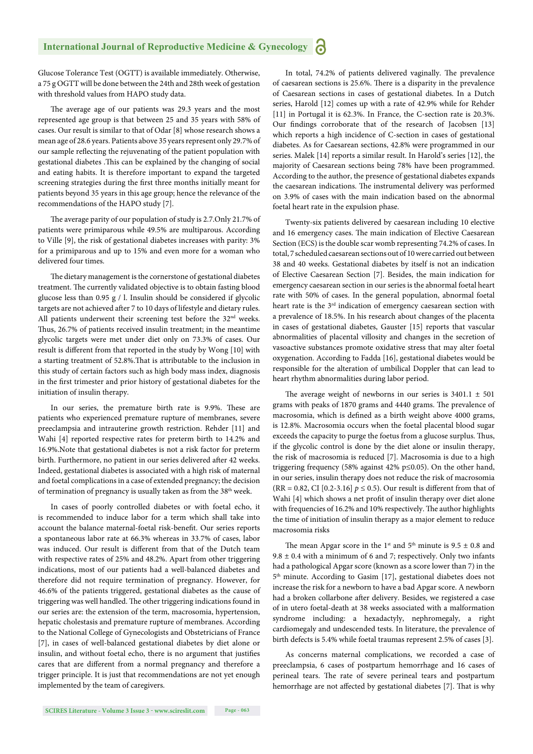Glucose Tolerance Test (OGTT) is available immediately. Otherwise, a 75 g OGTT will be done between the 24th and 28th week of gestation with threshold values from HAPO study data.

The average age of our patients was 29.3 years and the most represented age group is that between 25 and 35 years with 58% of cases. Our result is similar to that of Odar [8] whose research shows a mean age of 28.6 years. Patients above 35 years represent only 29.7% of our sample reflecting the rejuvenating of the patient population with gestational diabetes .This can be explained by the changing of social and eating habits. It is therefore important to expand the targeted screening strategies during the first three months initially meant for patients beyond 35 years in this age group; hence the relevance of the recommendations of the HAPO study [7].

The average parity of our population of study is 2.7.Only 21.7% of patients were primiparous while 49.5% are multiparous. According to Ville [9], the risk of gestational diabetes increases with parity: 3% for a primiparous and up to 15% and even more for a woman who delivered four times.

The dietary management is the cornerstone of gestational diabetes treatment. The currently validated objective is to obtain fasting blood glucose less than 0.95 g / l. Insulin should be considered if glycolic targets are not achieved after 7 to 10 days of lifestyle and dietary rules. All patients underwent their screening test before the 32<sup>nd</sup> weeks. Thus, 26.7% of patients received insulin treatment; in the meantime glycolic targets were met under diet only on 73.3% of cases. Our result is different from that reported in the study by Wong [10] with a starting treatment of 52.8%. That is attributable to the inclusion in this study of certain factors such as high body mass index, diagnosis in the first trimester and prior history of gestational diabetes for the initiation of insulin therapy.

In our series, the premature birth rate is 9.9%. These are patients who experienced premature rupture of membranes, severe preeclampsia and intrauterine growth restriction. Rehder [11] and Wahi [4] reported respective rates for preterm birth to 14.2% and 16.9%.Note that gestational diabetes is not a risk factor for preterm birth. Furthermore, no patient in our series delivered after 42 weeks. Indeed, gestational diabetes is associated with a high risk of maternal and foetal complications in a case of extended pregnancy; the decision of termination of pregnancy is usually taken as from the 38<sup>th</sup> week.

In cases of poorly controlled diabetes or with foetal echo, it is recommended to induce labor for a term which shall take into account the balance maternal-foetal risk-benefit. Our series reports a spontaneous labor rate at 66.3% whereas in 33.7% of cases, labor was induced. Our result is different from that of the Dutch team with respective rates of 25% and 48.2%. Apart from other triggering indications, most of our patients had a well-balanced diabetes and therefore did not require termination of pregnancy. However, for 46.6% of the patients triggered, gestational diabetes as the cause of triggering was well handled. The other triggering indications found in our series are: the extension of the term, macrosomia, hypertension, hepatic cholestasis and premature rupture of membranes. According to the National College of Gynecologists and Obstetricians of France [7], in cases of well-balanced gestational diabetes by diet alone or insulin, and without foetal echo, there is no argument that justifies cares that are different from a normal pregnancy and therefore a trigger principle. It is just that recommendations are not yet enough implemented by the team of caregivers.

In total, 74.2% of patients delivered vaginally. The prevalence of caesarean sections is 25.6%. There is a disparity in the prevalence of Caesarean sections in cases of gestational diabetes. In a Dutch series, Harold [12] comes up with a rate of 42.9% while for Rehder [11] in Portugal it is 62.3%. In France, the C-section rate is 20.3%. Our findings corroborate that of the research of Jacobsen [13] which reports a high incidence of C-section in cases of gestational diabetes. As for Caesarean sections, 42.8% were programmed in our series. Malek [14] reports a similar result. In Harold's series [12], the majority of Caesarean sections being 78% have been programmed. According to the author, the presence of gestational diabetes expands the caesarean indications. The instrumental delivery was performed on 3.9% of cases with the main indication based on the abnormal foetal heart rate in the expulsion phase.

Twenty-six patients delivered by caesarean including 10 elective and 16 emergency cases. The main indication of Elective Caesarean Section (ECS) is the double scar womb representing 74.2% of cases. In total, 7 scheduled caesarean sections out of 10 were carried out between 38 and 40 weeks. Gestational diabetes by itself is not an indication of Elective Caesarean Section [7]. Besides, the main indication for emergency caesarean section in our series is the abnormal foetal heart rate with 50% of cases. In the general population, abnormal foetal heart rate is the 3<sup>rd</sup> indication of emergency caesarean section with a prevalence of 18.5%. In his research about changes of the placenta in cases of gestational diabetes, Gauster [15] reports that vascular abnormalities of placental villosity and changes in the secretion of vasoactive substances promote oxidative stress that may alter foetal oxygenation. According to Fadda [16], gestational diabetes would be responsible for the alteration of umbilical Doppler that can lead to heart rhythm abnormalities during labor period.

The average weight of newborns in our series is  $3401.1 \pm 501$ grams with peaks of 1870 grams and 4440 grams. The prevalence of macrosomia, which is defined as a birth weight above 4000 grams, is 12.8%. Macrosomia occurs when the foetal placental blood sugar exceeds the capacity to purge the foetus from a glucose surplus. Thus, if the glycolic control is done by the diet alone or insulin therapy, the risk of macrosomia is reduced [7]. Macrosomia is due to a high triggering frequency (58% against 42% p≤0.05). On the other hand, in our series, insulin therapy does not reduce the risk of macrosomia (RR = 0.82, CI [0.2-3.16]  $p \le 0.5$ ). Our result is different from that of Wahi [4] which shows a net profit of insulin therapy over diet alone with frequencies of 16.2% and 10% respectively. The author highlights the time of initiation of insulin therapy as a major element to reduce macrosomia risks

The mean Apgar score in the 1<sup>st</sup> and  $5<sup>th</sup>$  minute is 9.5  $\pm$  0.8 and  $9.8 \pm 0.4$  with a minimum of 6 and 7; respectively. Only two infants had a pathological Apgar score (known as a score lower than 7) in the 5th minute. According to Gasim [17], gestational diabetes does not increase the risk for a newborn to have a bad Apgar score. A newborn had a broken collarbone after delivery. Besides, we registered a case of in utero foetal-death at 38 weeks associated with a malformation syndrome including: a hexadactyly, nephromegaly, a right cardiomegaly and undescended tests. In literature, the prevalence of birth defects is 5.4% while foetal traumas represent 2.5% of cases [3].

As concerns maternal complications, we recorded a case of preeclampsia, 6 cases of postpartum hemorrhage and 16 cases of perineal tears. The rate of severe perineal tears and postpartum hemorrhage are not affected by gestational diabetes [7]. That is why